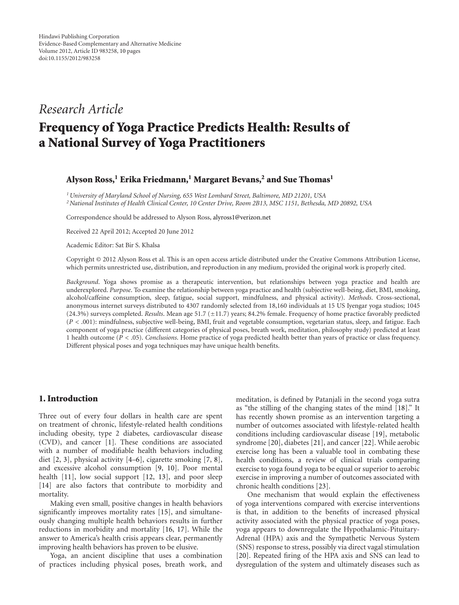# *Research Article*

# Frequency of Yoga Practice Predicts Health: Results of a National Survey of Yoga Practitioners

## Alyson Ross,<sup>1</sup> Erika Friedmann,<sup>1</sup> Margaret Bevans,<sup>2</sup> and Sue Thomas<sup>1</sup>

*1University of Maryland School of Nursing, 655 West Lombard Street, Baltimore, MD 21201, USA 2National Institutes of Health Clinical Center, 10 Center Drive, Room 2B13, MSC 1151, Bethesda, MD 20892, USA*

Correspondence should be addressed to Alyson Ross, alyross1@verizon.net

Received 22 April 2012; Accepted 20 June 2012

Academic Editor: Sat Bir S. Khalsa

Copyright © 2012 Alyson Ross et al. This is an open access article distributed under the Creative Commons Attribution License, which permits unrestricted use, distribution, and reproduction in any medium, provided the original work is properly cited.

*Background*. Yoga shows promise as a therapeutic intervention, but relationships between yoga practice and health are underexplored. *Purpose*. To examine the relationship between yoga practice and health (subjective well-being, diet, BMI, smoking, alcohol/caffeine consumption, sleep, fatigue, social support, mindfulness, and physical activity). *Methods*. Cross-sectional, anonymous internet surveys distributed to 4307 randomly selected from 18,160 individuals at 15 US Iyengar yoga studios; 1045 (24.3%) surveys completed. *Results*. Mean age 51.7 (±11.7) years; 84.2% female. Frequency of home practice favorably predicted (*P <* .001): mindfulness, subjective well-being, BMI, fruit and vegetable consumption, vegetarian status, sleep, and fatigue. Each component of yoga practice (different categories of physical poses, breath work, meditation, philosophy study) predicted at least 1 health outcome (*P <* .05). *Conclusions*. Home practice of yoga predicted health better than years of practice or class frequency. Different physical poses and yoga techniques may have unique health benefits.

### 1. Introduction

Three out of every four dollars in health care are spent on treatment of chronic, lifestyle-related health conditions including obesity, type 2 diabetes, cardiovascular disease (CVD), and cancer [1]. These conditions are associated with a number of modifiable health behaviors including diet [2, 3], physical activity [4–6], cigarette smoking [7, 8], and excessive alcohol consumption [9, 10]. Poor mental health [11], low social support [12, 13], and poor sleep [14] are also factors that contribute to morbidity and mortality.

Making even small, positive changes in health behaviors significantly improves mortality rates [15], and simultaneously changing multiple health behaviors results in further reductions in morbidity and mortality [16, 17]. While the answer to America's health crisis appears clear, permanently improving health behaviors has proven to be elusive.

Yoga, an ancient discipline that uses a combination of practices including physical poses, breath work, and

meditation, is defined by Patanjali in the second yoga sutra as "the stilling of the changing states of the mind [18]." It has recently shown promise as an intervention targeting a number of outcomes associated with lifestyle-related health conditions including cardiovascular disease [19], metabolic syndrome [20], diabetes [21], and cancer [22]. While aerobic exercise long has been a valuable tool in combating these health conditions, a review of clinical trials comparing exercise to yoga found yoga to be equal or superior to aerobic exercise in improving a number of outcomes associated with chronic health conditions [23].

One mechanism that would explain the effectiveness of yoga interventions compared with exercise interventions is that, in addition to the benefits of increased physical activity associated with the physical practice of yoga poses, yoga appears to downregulate the Hypothalamic-Pituitary-Adrenal (HPA) axis and the Sympathetic Nervous System (SNS) response to stress, possibly via direct vagal stimulation [20]. Repeated firing of the HPA axis and SNS can lead to dysregulation of the system and ultimately diseases such as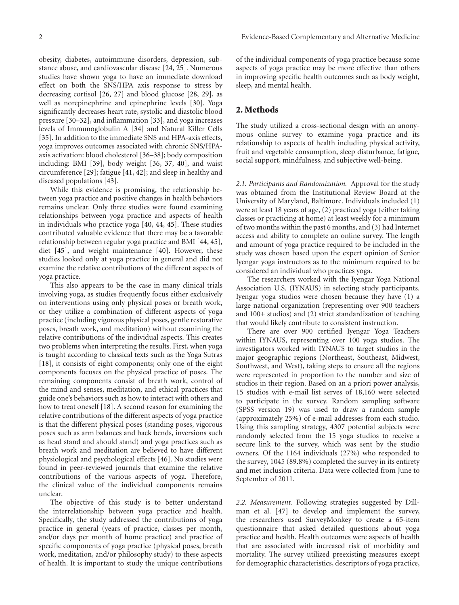obesity, diabetes, autoimmune disorders, depression, substance abuse, and cardiovascular disease [24, 25]. Numerous studies have shown yoga to have an immediate download effect on both the SNS/HPA axis response to stress by decreasing cortisol [26, 27] and blood glucose [28, 29], as well as norepinephrine and epinephrine levels [30]. Yoga significantly decreases heart rate, systolic and diastolic blood pressure [30–32], and inflammation [33], and yoga increases levels of Immunoglobulin A [34] and Natural Killer Cells [35]. In addition to the immediate SNS and HPA-axis effects, yoga improves outcomes associated with chronic SNS/HPAaxis activation: blood cholesterol [36–38]; body composition including: BMI [39], body weight [36, 37, 40], and waist circumference [29]; fatigue [41, 42]; and sleep in healthy and diseased populations [43].

While this evidence is promising, the relationship between yoga practice and positive changes in health behaviors remains unclear. Only three studies were found examining relationships between yoga practice and aspects of health in individuals who practice yoga [40, 44, 45]. These studies contributed valuable evidence that there may be a favorable relationship between regular yoga practice and BMI [44, 45], diet [45], and weight maintenance [40]. However, these studies looked only at yoga practice in general and did not examine the relative contributions of the different aspects of yoga practice.

This also appears to be the case in many clinical trials involving yoga, as studies frequently focus either exclusively on interventions using only physical poses or breath work, or they utilize a combination of different aspects of yoga practice (including vigorous physical poses, gentle restorative poses, breath work, and meditation) without examining the relative contributions of the individual aspects. This creates two problems when interpreting the results. First, when yoga is taught according to classical texts such as the Yoga Sutras [18], it consists of eight components; only one of the eight components focuses on the physical practice of poses. The remaining components consist of breath work, control of the mind and senses, meditation, and ethical practices that guide one's behaviors such as how to interact with others and how to treat oneself [18]. A second reason for examining the relative contributions of the different aspects of yoga practice is that the different physical poses (standing poses, vigorous poses such as arm balances and back bends, inversions such as head stand and should stand) and yoga practices such as breath work and meditation are believed to have different physiological and psychological effects [46]. No studies were found in peer-reviewed journals that examine the relative contributions of the various aspects of yoga. Therefore, the clinical value of the individual components remains unclear.

The objective of this study is to better understand the interrelationship between yoga practice and health. Specifically, the study addressed the contributions of yoga practice in general (years of practice, classes per month, and/or days per month of home practice) and practice of specific components of yoga practice (physical poses, breath work, meditation, and/or philosophy study) to these aspects of health. It is important to study the unique contributions

of the individual components of yoga practice because some aspects of yoga practice may be more effective than others in improving specific health outcomes such as body weight, sleep, and mental health.

#### 2. Methods

The study utilized a cross-sectional design with an anonymous online survey to examine yoga practice and its relationship to aspects of health including physical activity, fruit and vegetable consumption, sleep disturbance, fatigue, social support, mindfulness, and subjective well-being.

*2.1. Participants and Randomization.* Approval for the study was obtained from the Institutional Review Board at the University of Maryland, Baltimore. Individuals included (1) were at least 18 years of age, (2) practiced yoga (either taking classes or practicing at home) at least weekly for a minimum of two months within the past 6 months, and (3) had Internet access and ability to complete an online survey. The length and amount of yoga practice required to be included in the study was chosen based upon the expert opinion of Senior Iyengar yoga instructors as to the minimum required to be considered an individual who practices yoga.

The researchers worked with the Iyengar Yoga National Association U.S. (IYNAUS) in selecting study participants. Iyengar yoga studios were chosen because they have (1) a large national organization (representing over 900 teachers and 100+ studios) and (2) strict standardization of teaching that would likely contribute to consistent instruction.

There are over 900 certified Iyengar Yoga Teachers within IYNAUS, representing over 100 yoga studios. The investigators worked with IYNAUS to target studios in the major geographic regions (Northeast, Southeast, Midwest, Southwest, and West), taking steps to ensure all the regions were represented in proportion to the number and size of studios in their region. Based on an a priori power analysis, 15 studios with e-mail list serves of 18,160 were selected to participate in the survey. Random sampling software (SPSS version 19) was used to draw a random sample (approximately 25%) of e-mail addresses from each studio. Using this sampling strategy, 4307 potential subjects were randomly selected from the 15 yoga studios to receive a secure link to the survey, which was sent by the studio owners. Of the 1164 individuals (27%) who responded to the survey, 1045 (89.8%) completed the survey in its entirety and met inclusion criteria. Data were collected from June to September of 2011.

*2.2. Measurement.* Following strategies suggested by Dillman et al. [47] to develop and implement the survey, the researchers used SurveyMonkey to create a 65-item questionnaire that asked detailed questions about yoga practice and health. Health outcomes were aspects of health that are associated with increased risk of morbidity and mortality. The survey utilized preexisting measures except for demographic characteristics, descriptors of yoga practice,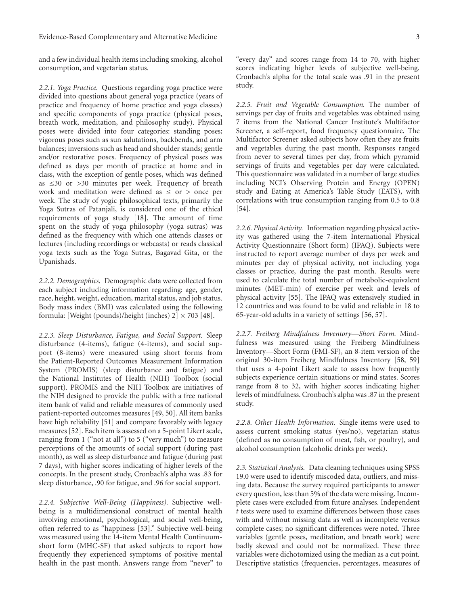Evidence-Based Complementary and Alternative Medicine 3

and a few individual health items including smoking, alcohol consumption, and vegetarian status.

*2.2.1. Yoga Practice.* Questions regarding yoga practice were divided into questions about general yoga practice (years of practice and frequency of home practice and yoga classes) and specific components of yoga practice (physical poses, breath work, meditation, and philosophy study). Physical poses were divided into four categories: standing poses; vigorous poses such as sun salutations, backbends, and arm balances; inversions such as head and shoulder stands; gentle and/or restorative poses. Frequency of physical poses was defined as days per month of practice at home and in class, with the exception of gentle poses, which was defined as ≤30 or *>*30 minutes per week. Frequency of breath work and meditation were defined as ≤ or *>* once per week. The study of yogic philosophical texts, primarily the Yoga Sutras of Patanjali, is considered one of the ethical requirements of yoga study [18]. The amount of time spent on the study of yoga philosophy (yoga sutras) was defined as the frequency with which one attends classes or lectures (including recordings or webcasts) or reads classical yoga texts such as the Yoga Sutras, Bagavad Gita, or the Upanishads.

*2.2.2. Demographics.* Demographic data were collected from each subject including information regarding: age, gender, race, height, weight, education, marital status, and job status. Body mass index (BMI) was calculated using the following formula: [Weight (pounds)/height (inches)  $2 \times 703$  [48].

*2.2.3. Sleep Disturbance, Fatigue, and Social Support.* Sleep disturbance (4-items), fatigue (4-items), and social support (8-items) were measured using short forms from the Patient-Reported Outcomes Measurement Information System (PROMIS) (sleep disturbance and fatigue) and the National Institutes of Health (NIH) Toolbox (social support). PROMIS and the NIH Toolbox are initiatives of the NIH designed to provide the public with a free national item bank of valid and reliable measures of commonly used patient-reported outcomes measures [49, 50]. All item banks have high reliability [51] and compare favorably with legacy measures [52]. Each item is assessed on a 5-point Likert scale, ranging from 1 ("not at all") to 5 ("very much") to measure perceptions of the amounts of social support (during past month), as well as sleep disturbance and fatigue (during past 7 days), with higher scores indicating of higher levels of the concepts. In the present study, Cronbach's alpha was .83 for sleep disturbance, .90 for fatigue, and .96 for social support.

*2.2.4. Subjective Well-Being (Happiness).* Subjective wellbeing is a multidimensional construct of mental health involving emotional, psychological, and social well-being, often referred to as "happiness [53]." Subjective well-being was measured using the 14-item Mental Health Continuumshort form (MHC-SF) that asked subjects to report how frequently they experienced symptoms of positive mental health in the past month. Answers range from "never" to

"every day" and scores range from 14 to 70, with higher scores indicating higher levels of subjective well-being. Cronbach's alpha for the total scale was .91 in the present study.

*2.2.5. Fruit and Vegetable Consumption.* The number of servings per day of fruits and vegetables was obtained using 7 items from the National Cancer Institute's Multifactor Screener, a self-report, food frequency questionnaire. The Multifactor Screener asked subjects how often they ate fruits and vegetables during the past month. Responses ranged from never to several times per day, from which pyramid servings of fruits and vegetables per day were calculated. This questionnaire was validated in a number of large studies including NCI's Observing Protein and Energy (OPEN) study and Eating at America's Table Study (EATS), with correlations with true consumption ranging from 0.5 to 0.8 [54].

*2.2.6. Physical Activity.* Information regarding physical activity was gathered using the 7-item International Physical Activity Questionnaire (Short form) (IPAQ). Subjects were instructed to report average number of days per week and minutes per day of physical activity, not including yoga classes or practice, during the past month. Results were used to calculate the total number of metabolic-equivalent minutes (MET-min) of exercise per week and levels of physical activity [55]. The IPAQ was extensively studied in 12 countries and was found to be valid and reliable in 18 to 65-year-old adults in a variety of settings [56, 57].

*2.2.7. Freiberg Mindfulness Inventory—Short Form.* Mindfulness was measured using the Freiberg Mindfulness Inventory—Short Form (FMI-SF), an 8-item version of the original 30-item Freiberg Mindfulness Inventory [58, 59] that uses a 4-point Likert scale to assess how frequently subjects experience certain situations or mind states. Scores range from 8 to 32, with higher scores indicating higher levels of mindfulness. Cronbach's alpha was .87 in the present study.

*2.2.8. Other Health Information.* Single items were used to assess current smoking status (yes/no), vegetarian status (defined as no consumption of meat, fish, or poultry), and alcohol consumption (alcoholic drinks per week).

*2.3. Statistical Analysis.* Data cleaning techniques using SPSS 19.0 were used to identify miscoded data, outliers, and missing data. Because the survey required participants to answer every question, less than 5% of the data were missing. Incomplete cases were excluded from future analyses. Independent *t* tests were used to examine differences between those cases with and without missing data as well as incomplete versus complete cases; no significant differences were noted. Three variables (gentle poses, meditation, and breath work) were badly skewed and could not be normalized. These three variables were dichotomized using the median as a cut point. Descriptive statistics (frequencies, percentages, measures of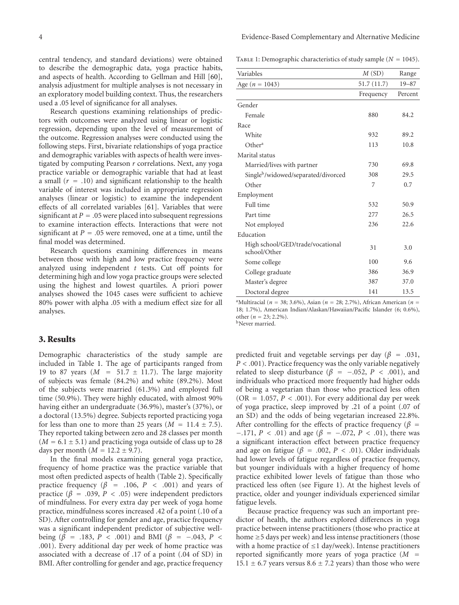central tendency, and standard deviations) were obtained to describe the demographic data, yoga practice habits, and aspects of health. According to Gellman and Hill [60], analysis adjustment for multiple analyses is not necessary in an exploratory model building context. Thus, the researchers used a .05 level of significance for all analyses.

Research questions examining relationships of predictors with outcomes were analyzed using linear or logistic regression, depending upon the level of measurement of the outcome. Regression analyses were conducted using the following steps. First, bivariate relationships of yoga practice and demographic variables with aspects of health were investigated by computing Pearson *r* correlations. Next, any yoga practice variable or demographic variable that had at least a small (*r* = *.*10) and significant relationship to the health variable of interest was included in appropriate regression analyses (linear or logistic) to examine the independent effects of all correlated variables [61]. Variables that were significant at  $P = 0.05$  were placed into subsequent regressions to examine interaction effects. Interactions that were not significant at  $P = .05$  were removed, one at a time, until the final model was determined.

Research questions examining differences in means between those with high and low practice frequency were analyzed using independent *t* tests. Cut off points for determining high and low yoga practice groups were selected using the highest and lowest quartiles. A priori power analyses showed the 1045 cases were sufficient to achieve 80% power with alpha .05 with a medium effect size for all analyses.

#### 3. Results

Demographic characteristics of the study sample are included in Table 1. The age of participants ranged from 19 to 87 years  $(M = 51.7 \pm 11.7)$ . The large majority of subjects was female (84.2%) and white (89.2%). Most of the subjects were married (61.3%) and employed full time (50.9%). They were highly educated, with almost 90% having either an undergraduate (36.9%), master's (37%), or a doctoral (13.5%) degree. Subjects reported practicing yoga for less than one to more than 25 years  $(M = 11.4 \pm 7.5)$ . They reported taking between zero and 28 classes per month  $(M = 6.1 \pm 5.1)$  and practicing yoga outside of class up to 28 days per month  $(M = 12.2 \pm 9.7)$ .

In the final models examining general yoga practice, frequency of home practice was the practice variable that most often predicted aspects of health (Table 2). Specifically practice frequency ( $\beta$  = .106,  $P$  < .001) and years of practice ( $\beta$  = .039,  $P < .05$ ) were independent predictors of mindfulness. For every extra day per week of yoga home practice, mindfulness scores increased .42 of a point (.10 of a SD). After controlling for gender and age, practice frequency was a significant independent predictor of subjective well- $\begin{bmatrix} \beta = .183, P < .001 \end{bmatrix}$  and BMI ( $\beta = -.043, P$  < *.*001). Every additional day per week of home practice was associated with a decrease of .17 of a point (.04 of SD) in BMI. After controlling for gender and age, practice frequency

TABLE 1: Demographic characteristics of study sample  $(N = 1045)$ .

| Variables                                        | M(SD)       | Range     |
|--------------------------------------------------|-------------|-----------|
| Age ( $n = 1043$ )                               | 51.7 (11.7) | $19 - 87$ |
|                                                  | Frequency   | Percent   |
| Gender                                           |             |           |
| Female                                           | 880         | 84.2      |
| Race                                             |             |           |
| White                                            | 932         | 89.2      |
| Other <sup>a</sup>                               | 113         | 10.8      |
| Marital status                                   |             |           |
| Married/lives with partner                       | 730         | 69.8      |
| Single <sup>b</sup> /widowed/separated/divorced  | 308         | 29.5      |
| Other                                            | 7           | 0.7       |
| Employment                                       |             |           |
| Full time                                        | 532         | 50.9      |
| Part time                                        | 277         | 26.5      |
| Not employed                                     | 236         | 22.6      |
| Education                                        |             |           |
| High school/GED/trade/vocational<br>school/Other | 31          | 3.0       |
| Some college                                     | 100         | 9.6       |
| College graduate                                 | 386         | 36.9      |
| Master's degree                                  | 387         | 37.0      |
| Doctoral degree                                  | 141         | 13.5      |

aMultiracial (*n* <sup>=</sup> 38; 3.6%), Asian (*n* <sup>=</sup> 28; 2.7%), African American (*n* <sup>=</sup> 18; 1.7%), American Indian/Alaskan/Hawaiian/Pacific Islander (6; 0.6%), other ( $n = 23$ ; 2.2%).<br><sup>b</sup>Never married.

predicted fruit and vegetable servings per day ( $\beta$  = .031, *P<.*001). Practice frequency was the only variable negatively related to sleep disturbance ( $\beta$  = -.052, *P* < .001), and individuals who practiced more frequently had higher odds of being a vegetarian than those who practiced less often (OR =  $1.057$ ,  $P < .001$ ). For every additional day per week of yoga practice, sleep improved by .21 of a point (.07 of an SD) and the odds of being vegetarian increased 22.8%. After controlling for the effects of practice frequency ( $\beta$  = −*.*171, *P<.*01) and age (*β* = −*.*072, *P<.*01), there was a significant interaction effect between practice frequency and age on fatigue ( $\beta$  = .002,  $P < .01$ ). Older individuals had lower levels of fatigue regardless of practice frequency, but younger individuals with a higher frequency of home practice exhibited lower levels of fatigue than those who practiced less often (see Figure 1). At the highest levels of practice, older and younger individuals experienced similar fatigue levels.

Because practice frequency was such an important predictor of health, the authors explored differences in yoga practice between intense practitioners (those who practice at home ≥5 days per week) and less intense practitioners (those with a home practice of  $\leq$ 1 day/week). Intense practitioners reported significantly more years of yoga practice (*M* = 15.1  $\pm$  6.7 years versus 8.6  $\pm$  7.2 years) than those who were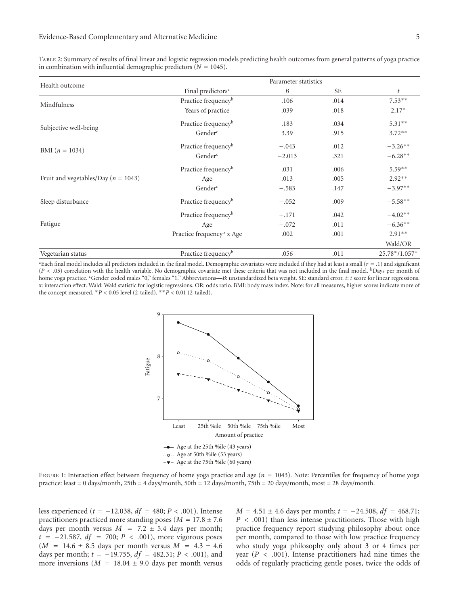Table 2: Summary of results of final linear and logistic regression models predicting health outcomes from general patterns of yoga practice in combination with influential demographic predictors ( $N = 1045$ ).

| Health outcome                          | Parameter statistics                  |                  |           |                 |
|-----------------------------------------|---------------------------------------|------------------|-----------|-----------------|
|                                         | Final predictors <sup>a</sup>         | $\boldsymbol{B}$ | <b>SE</b> | t               |
| Mindfulness                             | Practice frequency <sup>b</sup>       | .106             | .014      | $7.53**$        |
|                                         | Years of practice                     | .039             | .018      | $2.17*$         |
| Subjective well-being                   | Practice frequency <sup>b</sup>       | .183             | .034      | $5.31***$       |
|                                         | Gender <sup>c</sup>                   | 3.39             | .915      | $3.72**$        |
| BMI $(n = 1034)$                        | Practice frequency <sup>b</sup>       | $-.043$          | .012      | $-3.26**$       |
|                                         | Gender <sup>c</sup>                   | $-2.013$         | .321      | $-6.28**$       |
| Fruit and vegetables/Day ( $n = 1043$ ) | Practice frequency <sup>b</sup>       | .031             | .006      | $5.59**$        |
|                                         | Age                                   | .013             | .005      | $2.92**$        |
|                                         | Gender <sup>c</sup>                   | $-.583$          | .147      | $-3.97**$       |
| Sleep disturbance                       | Practice frequency <sup>b</sup>       | $-.052$          | .009      | $-5.58**$       |
| Fatigue                                 | Practice frequency <sup>b</sup>       | $-.171$          | .042      | $-4.02**$       |
|                                         | Age                                   | $-.072$          | .011      | $-6.36**$       |
|                                         | Practice frequency <sup>b</sup> x Age | .002             | .001      | $2.91**$        |
|                                         |                                       |                  |           | Wald/OR         |
| Vegetarian status                       | Practice frequency <sup>b</sup>       | .056             | .011      | $25.78*/1.057*$ |

<sup>a</sup>Each final model includes all predictors included in the final model. Demographic covariates were included if they had at least a small ( $r = .1$ ) and significant  $(P < .05)$  correlation with the health variable. No demographic covariate met these criteria that was not included in the final model. <sup>b</sup>Days per month of home yoga practice. <sup>c</sup>Gender coded males "0," females "1." Abbreviations—*B*: unstandardized beta weight. SE: standard error. *t*: *t* score for linear regressions. x: interaction effect. Wald: Wald statistic for logistic regressions. OR: odds ratio. BMI: body mass index. Note: for all measures, higher scores indicate more of the concept measured.  $*P < 0.05$  level (2-tailed).  $**P < 0.01$  (2-tailed).



FIGURE 1: Interaction effect between frequency of home yoga practice and age ( $n = 1043$ ). Note: Percentiles for frequency of home yoga practice: least = 0 days/month, 25th = 4 days/month, 50th = 12 days/month, 75th = 20 days/month, most = 28 days/month.

less experienced (*t* = −12*.*038, *df* = 480; *P<.*001). Intense practitioners practiced more standing poses (*M* = 17*.*8 ± 7*.*6 days per month versus  $M = 7.2 \pm 5.4$  days per month; *t* = −21.587, *df* = 700; *P* < .001), more vigorous poses  $(M = 14.6 \pm 8.5$  days per month versus  $M = 4.3 \pm 4.6$ days per month;  $t = -19.755$ ,  $df = 482.31$ ;  $P < .001$ ), and more inversions ( $M = 18.04 \pm 9.0$  days per month versus  $M = 4.51 \pm 4.6$  days per month;  $t = -24.508$ ,  $df = 468.71$ ; *P* < .001) than less intense practitioners. Those with high practice frequency report studying philosophy about once per month, compared to those with low practice frequency who study yoga philosophy only about 3 or 4 times per year  $(P < .001)$ . Intense practitioners had nine times the odds of regularly practicing gentle poses, twice the odds of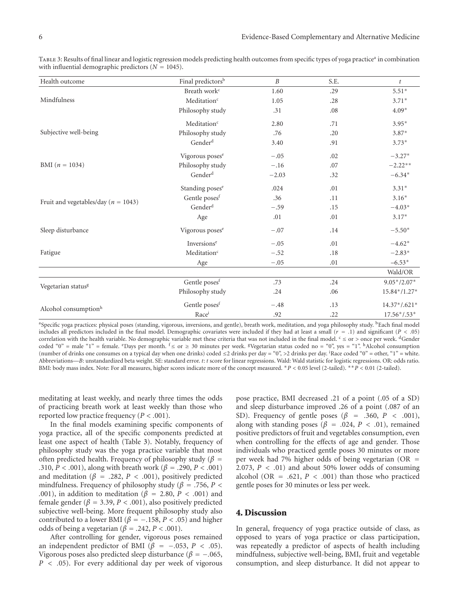| Health outcome                          | Final predictors <sup>b</sup> | $\boldsymbol{B}$ | S.E. | t              |
|-----------------------------------------|-------------------------------|------------------|------|----------------|
| Mindfulness                             | Breath work <sup>c</sup>      | 1.60             | .29  | $5.51*$        |
|                                         | Meditation <sup>c</sup>       | 1.05             | .28  | $3.71*$        |
|                                         | Philosophy study              | .31              | .08  | $4.09*$        |
| Subjective well-being                   | Meditation <sup>c</sup>       | 2.80             | .71  | $3.95*$        |
|                                         | Philosophy study              | .76              | .20  | $3.87*$        |
|                                         | Gender <sup>d</sup>           | 3.40             | .91  | $3.73*$        |
| BMI $(n = 1034)$                        | Vigorous posese               | $-.05$           | .02  | $-3.27*$       |
|                                         | Philosophy study              | $-.16$           | .07  | $-2.22**$      |
|                                         | Gender <sup>d</sup>           | $-2.03$          | .32  | $-6.34*$       |
| Fruit and vegetables/day ( $n = 1043$ ) | Standing poses <sup>e</sup>   | .024             | .01  | $3.31*$        |
|                                         | Gentle poses <sup>f</sup>     | .36              | .11  | $3.16*$        |
|                                         | Gender <sup>d</sup>           | $-.59$           | .15  | $-4.03*$       |
|                                         | Age                           | .01              | .01  | $3.17*$        |
| Sleep disturbance                       | Vigorous posese               | $-.07$           | .14  | $-5.50*$       |
| Fatigue                                 | Inversions <sup>e</sup>       | $-.05$           | .01  | $-4.62*$       |
|                                         | Meditation <sup>c</sup>       | $-.52$           | .18  | $-2.83*$       |
|                                         | Age                           | $-.05$           | .01  | $-6.53*$       |
|                                         |                               |                  |      | Wald/OR        |
| Vegetarian status <sup>g</sup>          | Gentle poses <sup>f</sup>     | .73              | .24  | $9.05*/2.07*$  |
|                                         | Philosophy study              | .24              | .06  | $15.84*/1.27*$ |
| Alcohol consumption <sup>h</sup>        | Gentle poses <sup>f</sup>     | $-.48$           | .13  | $14.37*/.621*$ |
|                                         | Racei                         | .92              | .22  | $17.56*/.53*$  |

TABLE 3: Results of final linear and logistic regression models predicting health outcomes from specific types of yoga practice<sup>a</sup> in combination with influential demographic predictors ( $N = 1045$ ).

<sup>a</sup>Specific yoga practices: physical poses (standing, vigorous, inversions, and gentle), breath work, meditation, and yoga philosophy study. <sup>b</sup>Each final model includes all predictors included in the final model. Demographic covariates were included if they had at least a small  $(r = .1)$  and significant  $(P < .05)$ correlation with the health variable. No demographic variable met these criteria that was not included in the final model.  $\epsilon \leq$  or  $>$  once per week. <sup>d</sup>Gender coded "0" = male "1" = female. <sup>e</sup>Days per month. <sup>f</sup> ≤ or ≥ 30 minutes per week. <sup>g</sup>Vegetarian status coded no = "0", yes = "1". <sup>h</sup>Alcohol consumption (number of drinks one consumes on a typical day when one drinks) coded <sup>≤</sup>2 drinks per day <sup>=</sup> "0", *>*2 drinks per day. <sup>i</sup> Race coded "0" = other, "1" = white. Abbreviations—*B*: unstandardized beta weight. SE: standard error. *t*: *t* score for linear regressions. Wald: Wald statistic for logistic regressions. OR: odds ratio. BMI: body mass index. Note: For all measures, higher scores indicate more of the concept measured. <sup>∗</sup>*P <* 0*.*05 level (2-tailed). ∗∗*P <* 0*.*01 (2-tailed).

meditating at least weekly, and nearly three times the odds of practicing breath work at least weekly than those who reported low practice frequency (*P<.*001).

In the final models examining specific components of yoga practice, all of the specific components predicted at least one aspect of health (Table 3). Notably, frequency of philosophy study was the yoga practice variable that most often predicted health. Frequency of philosophy study ( $\beta$  = *.*310, *P* < .001), along with breath work ( $\beta$  = *.*290, *P* < .001) and meditation ( $\beta$  = .282,  $P$  < .001), positively predicted mindfulness. Frequency of philosophy study ( $\beta$  = .756,  $P$  < *.*001), in addition to meditation ( $\beta$  = 2.80, *P* < .001) and female gender ( $\beta = 3.39$ ,  $P < .001$ ), also positively predicted subjective well-being. More frequent philosophy study also contributed to a lower BMI ( $\beta$  = −*.*158, *P* < *.*05) and higher odds of being a vegetarian ( $\beta$  = .242,  $P < .001$ ).

After controlling for gender, vigorous poses remained an independent predictor of BMI ( $\beta$  = -.053, *P* < .05). Vigorous poses also predicted sleep disturbance ( $\beta = -.065$ , *P* < .05). For every additional day per week of vigorous

pose practice, BMI decreased .21 of a point (.05 of a SD) and sleep disturbance improved .26 of a point (.087 of an SD). Frequency of gentle poses ( $\beta$  = .360,  $P$  < .001), along with standing poses ( $\beta$  = .024,  $P$  < .01), remained positive predictors of fruit and vegetables consumption, even when controlling for the effects of age and gender. Those individuals who practiced gentle poses 30 minutes or more per week had 7% higher odds of being vegetarian (OR  $=$ 2.073,  $P < .01$ ) and about 50% lower odds of consuming alcohol ( $OR = .621, P < .001$ ) than those who practiced gentle poses for 30 minutes or less per week.

#### 4. Discussion

In general, frequency of yoga practice outside of class, as opposed to years of yoga practice or class participation, was repeatedly a predictor of aspects of health including mindfulness, subjective well-being, BMI, fruit and vegetable consumption, and sleep disturbance. It did not appear to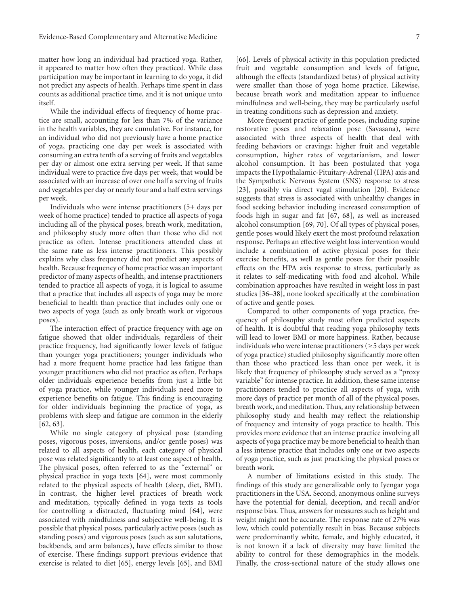matter how long an individual had practiced yoga. Rather, it appeared to matter how often they practiced. While class participation may be important in learning to do yoga, it did not predict any aspects of health. Perhaps time spent in class counts as additional practice time, and it is not unique unto itself.

While the individual effects of frequency of home practice are small, accounting for less than 7% of the variance in the health variables, they are cumulative. For instance, for an individual who did not previously have a home practice of yoga, practicing one day per week is associated with consuming an extra tenth of a serving of fruits and vegetables per day or almost one extra serving per week. If that same individual were to practice five days per week, that would be associated with an increase of over one half a serving of fruits and vegetables per day or nearly four and a half extra servings per week.

Individuals who were intense practitioners (5+ days per week of home practice) tended to practice all aspects of yoga including all of the physical poses, breath work, meditation, and philosophy study more often than those who did not practice as often. Intense practitioners attended class at the same rate as less intense practitioners. This possibly explains why class frequency did not predict any aspects of health. Because frequency of home practice was an important predictor of many aspects of health, and intense practitioners tended to practice all aspects of yoga, it is logical to assume that a practice that includes all aspects of yoga may be more beneficial to health than practice that includes only one or two aspects of yoga (such as only breath work or vigorous poses).

The interaction effect of practice frequency with age on fatigue showed that older individuals, regardless of their practice frequency, had significantly lower levels of fatigue than younger yoga practitioners; younger individuals who had a more frequent home practice had less fatigue than younger practitioners who did not practice as often. Perhaps older individuals experience benefits from just a little bit of yoga practice, while younger individuals need more to experience benefits on fatigue. This finding is encouraging for older individuals beginning the practice of yoga, as problems with sleep and fatigue are common in the elderly [62, 63].

While no single category of physical pose (standing poses, vigorous poses, inversions, and/or gentle poses) was related to all aspects of health, each category of physical pose was related significantly to at least one aspect of health. The physical poses, often referred to as the "external" or physical practice in yoga texts [64], were most commonly related to the physical aspects of health (sleep, diet, BMI). In contrast, the higher level practices of breath work and meditation, typically defined in yoga texts as tools for controlling a distracted, fluctuating mind [64], were associated with mindfulness and subjective well-being. It is possible that physical poses, particularly active poses (such as standing poses) and vigorous poses (such as sun salutations, backbends, and arm balances), have effects similar to those of exercise. These findings support previous evidence that exercise is related to diet [65], energy levels [65], and BMI

[66]. Levels of physical activity in this population predicted fruit and vegetable consumption and levels of fatigue, although the effects (standardized betas) of physical activity were smaller than those of yoga home practice. Likewise, because breath work and meditation appear to influence mindfulness and well-being, they may be particularly useful in treating conditions such as depression and anxiety.

More frequent practice of gentle poses, including supine restorative poses and relaxation pose (Savasana), were associated with three aspects of health that deal with feeding behaviors or cravings: higher fruit and vegetable consumption, higher rates of vegetarianism, and lower alcohol consumption. It has been postulated that yoga impacts the Hypothalamic-Pituitary-Adrenal (HPA) axis and the Sympathetic Nervous System (SNS) response to stress [23], possibly via direct vagal stimulation [20]. Evidence suggests that stress is associated with unhealthy changes in food seeking behavior including increased consumption of foods high in sugar and fat [67, 68], as well as increased alcohol consumption [69, 70]. Of all types of physical poses, gentle poses would likely exert the most profound relaxation response. Perhaps an effective weight loss intervention would include a combination of active physical poses for their exercise benefits, as well as gentle poses for their possible effects on the HPA axis response to stress, particularly as it relates to self-medicating with food and alcohol. While combination approaches have resulted in weight loss in past studies [36–38], none looked specifically at the combination of active and gentle poses.

Compared to other components of yoga practice, frequency of philosophy study most often predicted aspects of health. It is doubtful that reading yoga philosophy texts will lead to lower BMI or more happiness. Rather, because individuals who were intense practitioners ( $\geq$ 5 days per week of yoga practice) studied philosophy significantly more often than those who practiced less than once per week, it is likely that frequency of philosophy study served as a "proxy variable" for intense practice. In addition, these same intense practitioners tended to practice all aspects of yoga, with more days of practice per month of all of the physical poses, breath work, and meditation. Thus, any relationship between philosophy study and health may reflect the relationship of frequency and intensity of yoga practice to health. This provides more evidence that an intense practice involving all aspects of yoga practice may be more beneficial to health than a less intense practice that includes only one or two aspects of yoga practice, such as just practicing the physical poses or breath work.

A number of limitations existed in this study. The findings of this study are generalizable only to Iyengar yoga practitioners in the USA. Second, anonymous online surveys have the potential for denial, deception, and recall and/or response bias. Thus, answers for measures such as height and weight might not be accurate. The response rate of 27% was low, which could potentially result in bias. Because subjects were predominantly white, female, and highly educated, it is not known if a lack of diversity may have limited the ability to control for these demographics in the models. Finally, the cross-sectional nature of the study allows one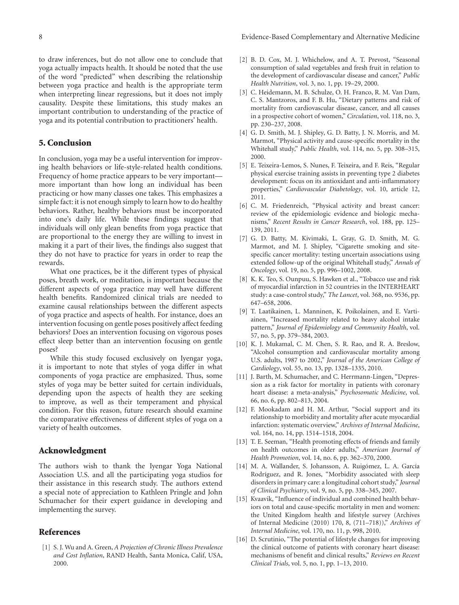to draw inferences, but do not allow one to conclude that yoga actually impacts health. It should be noted that the use of the word "predicted" when describing the relationship between yoga practice and health is the appropriate term when interpreting linear regressions, but it does not imply causality. Despite these limitations, this study makes an important contribution to understanding of the practice of yoga and its potential contribution to practitioners' health.

#### 5. Conclusion

In conclusion, yoga may be a useful intervention for improving health behaviors or life-style-related health conditions. Frequency of home practice appears to be very important more important than how long an individual has been practicing or how many classes one takes. This emphasizes a simple fact: it is not enough simply to learn how to do healthy behaviors. Rather, healthy behaviors must be incorporated into one's daily life. While these findings suggest that individuals will only glean benefits from yoga practice that are proportional to the energy they are willing to invest in making it a part of their lives, the findings also suggest that they do not have to practice for years in order to reap the rewards.

What one practices, be it the different types of physical poses, breath work, or meditation, is important because the different aspects of yoga practice may well have different health benefits. Randomized clinical trials are needed to examine causal relationships between the different aspects of yoga practice and aspects of health. For instance, does an intervention focusing on gentle poses positively affect feeding behaviors? Does an intervention focusing on vigorous poses effect sleep better than an intervention focusing on gentle poses?

While this study focused exclusively on Iyengar yoga, it is important to note that styles of yoga differ in what components of yoga practice are emphasized. Thus, some styles of yoga may be better suited for certain individuals, depending upon the aspects of health they are seeking to improve, as well as their temperament and physical condition. For this reason, future research should examine the comparative effectiveness of different styles of yoga on a variety of health outcomes.

#### Acknowledgment

The authors wish to thank the Iyengar Yoga National Association U.S. and all the participating yoga studios for their assistance in this research study. The authors extend a special note of appreciation to Kathleen Pringle and John Schumacher for their expert guidance in developing and implementing the survey.

#### References

[1] S. J. Wu and A. Green, *A Projection of Chronic Illness Prevalence and Cost Inflation*, RAND Health, Santa Monica, Calif, USA, 2000.

- [2] B. D. Cox, M. J. Whichelow, and A. T. Prevost, "Seasonal consumption of salad vegetables and fresh fruit in relation to the development of cardiovascular disease and cancer," *Public Health Nutrition*, vol. 3, no. 1, pp. 19–29, 2000.
- [3] C. Heidemann, M. B. Schulze, O. H. Franco, R. M. Van Dam, C. S. Mantzoros, and F. B. Hu, "Dietary patterns and risk of mortality from cardiovascular disease, cancer, and all causes in a prospective cohort of women," *Circulation*, vol. 118, no. 3, pp. 230–237, 2008.
- [4] G. D. Smith, M. J. Shipley, G. D. Batty, J. N. Morris, and M. Marmot, "Physical activity and cause-specific mortality in the Whitehall study," *Public Health*, vol. 114, no. 5, pp. 308–315, 2000.
- [5] E. Teixeira-Lemos, S. Nunes, F. Teixeira, and F. Reis, "Regular physical exercise training assists in preventing type 2 diabetes development: focus on its antioxidant and anti-inflammatory properties," *Cardiovascular Diabetology*, vol. 10, article 12, 2011.
- [6] C. M. Friedenreich, "Physical activity and breast cancer: review of the epidemiologic evidence and biologic mechanisms," *Recent Results in Cancer Research*, vol. 188, pp. 125– 139, 2011.
- [7] G. D. Batty, M. Kivimaki, L. Gray, G. D. Smith, M. G. Marmot, and M. J. Shipley, "Cigarette smoking and sitespecific cancer mortality: testing uncertain associations using extended follow-up of the original Whitehall study," *Annals of Oncology*, vol. 19, no. 5, pp. 996–1002, 2008.
- [8] K. K. Teo, S. Ounpuu, S. Hawken et al., "Tobacco use and risk of myocardial infarction in 52 countries in the INTERHEART study: a case-control study," *The Lancet*, vol. 368, no. 9536, pp. 647–658, 2006.
- [9] T. Laatikainen, L. Manninen, K. Poikolainen, and E. Vartiainen, "Increased mortality related to heavy alcohol intake pattern," *Journal of Epidemiology and Community Health*, vol. 57, no. 5, pp. 379–384, 2003.
- [10] K. J. Mukamal, C. M. Chen, S. R. Rao, and R. A. Breslow, "Alcohol consumption and cardiovascular mortality among U.S. adults, 1987 to 2002," *Journal of the American College of Cardiology*, vol. 55, no. 13, pp. 1328–1335, 2010.
- [11] J. Barth, M. Schumacher, and C. Herrmann-Lingen, "Depression as a risk factor for mortality in patients with coronary heart disease: a meta-analysis," *Psychosomatic Medicine*, vol. 66, no. 6, pp. 802–813, 2004.
- [12] F. Mookadam and H. M. Arthur, "Social support and its relationship to morbidity and mortality after acute myocardial infarction: systematic overview," *Archives of Internal Medicine*, vol. 164, no. 14, pp. 1514–1518, 2004.
- [13] T. E. Seeman, "Health promoting effects of friends and family on health outcomes in older adults," *American Journal of Health Promotion*, vol. 14, no. 6, pp. 362–370, 2000.
- [14] M. A. Wallander, S. Johansson, A. Ruigómez, L. A. García Rodríguez, and R. Jones, "Morbidity associated with sleep disorders in primary care: a longitudinal cohort study," *Journal of Clinical Psychiatry*, vol. 9, no. 5, pp. 338–345, 2007.
- [15] Kvaavik, "Influence of individual and combined health behaviors on total and cause-specific mortality in men and women: the United Kingdom health and lifestyle survey (Archives of Internal Medicine (2010) 170, 8, (711–718))," *Archives of Internal Medicine*, vol. 170, no. 11, p. 998, 2010.
- [16] D. Scrutinio, "The potential of lifestyle changes for improving the clinical outcome of patients with coronary heart disease: mechanisms of benefit and clinical results," *Reviews on Recent Clinical Trials*, vol. 5, no. 1, pp. 1–13, 2010.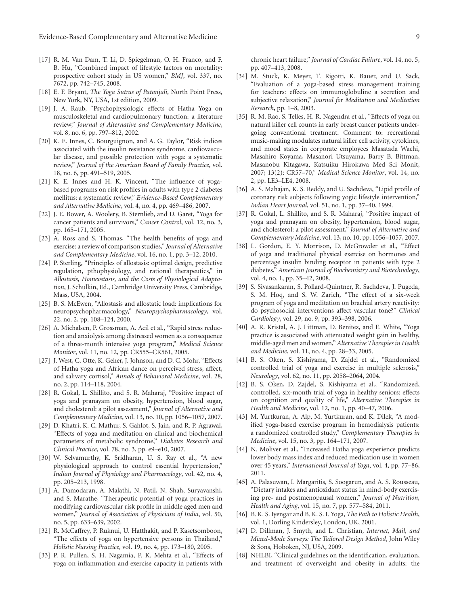- [17] R. M. Van Dam, T. Li, D. Spiegelman, O. H. Franco, and F. B. Hu, "Combined impact of lifestyle factors on mortality: prospective cohort study in US women," *BMJ*, vol. 337, no. 7672, pp. 742–745, 2008.
- [18] E. F. Bryant, *The Yoga Sutras of Patanjali*, North Point Press, New York, NY, USA, 1st edition, 2009.
- [19] J. A. Raub, "Psychophysiologic effects of Hatha Yoga on musculoskeletal and cardiopulmonary function: a literature review," *Journal of Alternative and Complementary Medicine*, vol. 8, no. 6, pp. 797–812, 2002.
- [20] K. E. Innes, C. Bourguignon, and A. G. Taylor, "Risk indices associated with the insulin resistance syndrome, cardiovascular disease, and possible protection with yoga: a systematic review," *Journal of the American Board of Family Practice*, vol. 18, no. 6, pp. 491–519, 2005.
- [21] K. E. Innes and H. K. Vincent, "The influence of yogabased programs on risk profiles in adults with type 2 diabetes mellitus: a systematic review," *Evidence-Based Complementary and Alternative Medicine*, vol. 4, no. 4, pp. 469–486, 2007.
- [22] J. E. Bower, A. Woolery, B. Sternlieb, and D. Garet, "Yoga for cancer patients and survivors," *Cancer Control*, vol. 12, no. 3, pp. 165–171, 2005.
- [23] A. Ross and S. Thomas, "The health benefits of yoga and exercise: a review of comparison studies," *Journal of Alternative and Complementary Medicine*, vol. 16, no. 1, pp. 3–12, 2010.
- [24] P. Sterling, "Principles of allostasis: optimal design, predictive regulation, pthophysiology, and rational therapeutics," in *Allostasis, Homeostasis, and the Costs of Physiological Adaptation*, J. Schulkin, Ed., Cambridge University Press, Cambridge, Mass, USA, 2004.
- [25] B. S. McEwen, "Allostasis and allostatic load: implications for neuropsychopharmacology," *Neuropsychopharmacology*, vol. 22, no. 2, pp. 108–124, 2000.
- [26] A. Michalsen, P. Grossman, A. Acil et al., "Rapid stress reduction and anxiolysis among distressed women as a consequence of a three-month intensive yoga program," *Medical Science Monitor*, vol. 11, no. 12, pp. CR555–CR561, 2005.
- [27] J. West, C. Otte, K. Geher, J. Johnson, and D. C. Mohr, "Effects of Hatha yoga and African dance on perceived stress, affect, and salivary cortisol," *Annals of Behavioral Medicine*, vol. 28, no. 2, pp. 114–118, 2004.
- [28] R. Gokal, L. Shillito, and S. R. Maharaj, "Positive impact of yoga and pranayam on obesity, hypertension, blood sugar, and cholesterol: a pilot assessment," *Journal of Alternative and Complementary Medicine*, vol. 13, no. 10, pp. 1056–1057, 2007.
- [29] D. Khatri, K. C. Mathur, S. Gahlot, S. Jain, and R. P. Agrawal, "Effects of yoga and meditation on clinical and biochemical parameters of metabolic syndrome," *Diabetes Research and Clinical Practice*, vol. 78, no. 3, pp. e9–e10, 2007.
- [30] W. Selvamurthy, K. Sridharan, U. S. Ray et al., "A new physiological approach to control essential hypertension," *Indian Journal of Physiology and Pharmacology*, vol. 42, no. 4, pp. 205–213, 1998.
- [31] A. Damodaran, A. Malathi, N. Patil, N. Shah, Suryavanshi, and S. Marathe, "Therapeutic potential of yoga practices in modifying cardiovascular risk profile in middle aged men and women," *Journal of Association of Physicians of India*, vol. 50, no. 5, pp. 633–639, 2002.
- [32] R. McCaffrey, P. Ruknui, U. Hatthakit, and P. Kasetsomboon, "The effects of yoga on hypertensive persons in Thailand," *Holistic Nursing Practice*, vol. 19, no. 4, pp. 173–180, 2005.
- [33] P. R. Pullen, S. H. Nagamia, P. K. Mehta et al., "Effects of yoga on inflammation and exercise capacity in patients with

chronic heart failure," *Journal of Cardiac Failure*, vol. 14, no. 5, pp. 407–413, 2008.

- [34] M. Stuck, K. Meyer, T. Rigotti, K. Bauer, and U. Sack, "Evaluation of a yoga-based stress management training for teachers: effects on immunoglobuline a secretion and subjective relaxation," *Journal for Meditation and Meditation Research*, pp. 1–8, 2003.
- [35] R. M. Rao, S. Telles, H. R. Nagendra et al., "Effects of yoga on natural killer cell counts in early breast cancer patients undergoing conventional treatment. Comment to: recreational music-making modulates natural killer cell activity, cytokines, and mood states in corporate employees Masatada Wachi, Masahiro Koyama, Masanori Utsuyama, Barry B. Bittman, Masanobu Kitagawa, Katsuiku Hirokawa Med Sci Monit, 2007; 13(2): CR57–70," *Medical Science Monitor*, vol. 14, no. 2, pp. LE3–LE4, 2008.
- [36] A. S. Mahajan, K. S. Reddy, and U. Sachdeva, "Lipid profile of coronary risk subjects following yogic lifestyle intervention," *Indian Heart Journal*, vol. 51, no. 1, pp. 37–40, 1999.
- [37] R. Gokal, L. Shillito, and S. R. Maharaj, "Positive impact of yoga and pranayam on obesity, hypertension, blood sugar, and cholesterol: a pilot assessment," *Journal of Alternative and Complementary Medicine*, vol. 13, no. 10, pp. 1056–1057, 2007.
- [38] L. Gordon, E. Y. Morrison, D. McGrowder et al., "Effect of yoga and traditional physical exercise on hormones and percentage insulin binding receptor in patients with type 2 diabetes," *American Journal of Biochemistry and Biotechnology*, vol. 4, no. 1, pp. 35–42, 2008.
- [39] S. Sivasankaran, S. Pollard-Quintner, R. Sachdeva, J. Pugeda, S. M. Hoq, and S. W. Zarich, "The effect of a six-week program of yoga and meditation on brachial artery reactivity: do psychosocial interventions affect vascular tone?" *Clinical Cardiology*, vol. 29, no. 9, pp. 393–398, 2006.
- [40] A. R. Kristal, A. J. Littman, D. Benitez, and E. White, "Yoga practice is associated with attenuated weight gain in healthy, middle-aged men and women," *Alternative Therapies in Health and Medicine*, vol. 11, no. 4, pp. 28–33, 2005.
- [41] B. S. Oken, S. Kishiyama, D. Zajdel et al., "Randomized controlled trial of yoga and exercise in multiple sclerosis," *Neurology*, vol. 62, no. 11, pp. 2058–2064, 2004.
- [42] B. S. Oken, D. Zajdel, S. Kishiyama et al., "Randomized, controlled, six-month trial of yoga in healthy seniors: effects on cognition and quality of life," *Alternative Therapies in Health and Medicine*, vol. 12, no. 1, pp. 40–47, 2006.
- [43] M. Yurtkuran, A. Alp, M. Yurtkuran, and K. Dilek, "A modified yoga-based exercise program in hemodialysis patients: a randomized controlled study," *Complementary Therapies in Medicine*, vol. 15, no. 3, pp. 164–171, 2007.
- [44] N. Moliver et al., "Increased Hatha yoga experience predicts lower body mass index and reduced medication use in women over 45 years," *International Journal of Yoga*, vol. 4, pp. 77–86, 2011.
- [45] A. Palasuwan, I. Margaritis, S. Soogarun, and A. S. Rousseau, "Dietary intakes and antioxidant status in mind-body exercising pre- and postmenopausal women," *Journal of Nutrition, Health and Aging*, vol. 15, no. 7, pp. 577–584, 2011.
- [46] B. K. S. Iyengar and B. K. S. I. Yoga, *The Path to Holistic Health*, vol. 1, Dorling Kindersley, London, UK, 2001.
- [47] D. Dillman, J. Smyth, and L. Christian, *Internet, Mail, and Mixed-Mode Surveys: The Tailored Design Method*, John Wiley & Sons, Hoboken, NJ, USA, 2009.
- [48] NHLBI, "Clinical guidelines on the identification, evaluation, and treatment of overweight and obesity in adults: the